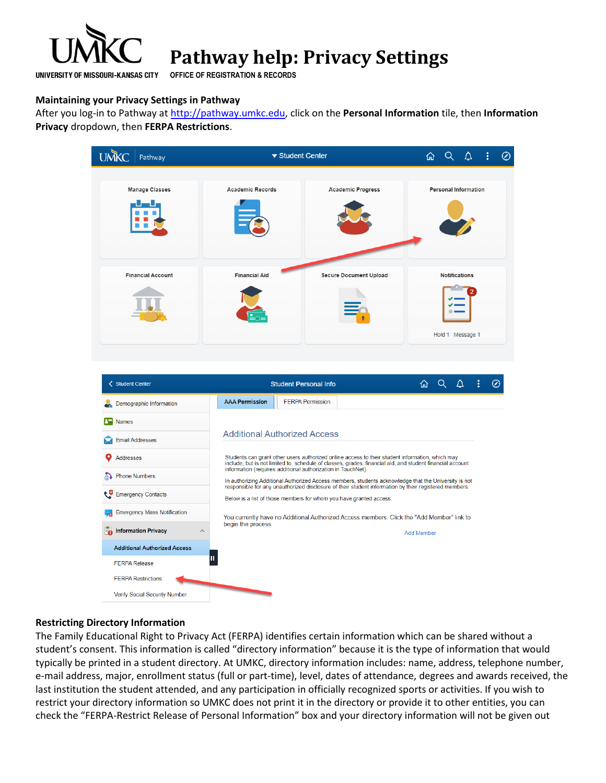

# **Pathway help: Privacy Settings**

**OFFICE OF REGISTRATION & RECORDS**

# **Maintaining your Privacy Settings in Pathway**

After you log-in to Pathway at [http://pathway.umkc.edu,](http://pathway.umkc.edu/) click on the **Personal Information** tile, then **Information Privacy** dropdown, then **FERPA Restrictions**.

| <b>UMKC</b><br>Pathway                         |                                     | ▼ Student Center                                                                                                                                                                                             | ⋒                 |               | Δ                           | $\circledcirc$ |
|------------------------------------------------|-------------------------------------|--------------------------------------------------------------------------------------------------------------------------------------------------------------------------------------------------------------|-------------------|---------------|-----------------------------|----------------|
|                                                |                                     |                                                                                                                                                                                                              |                   |               |                             |                |
| <b>Manage Classes</b>                          | <b>Academic Records</b>             | <b>Academic Progress</b>                                                                                                                                                                                     |                   |               | <b>Personal Information</b> |                |
|                                                |                                     |                                                                                                                                                                                                              |                   |               |                             |                |
| <b>Financial Account</b>                       | <b>Financial Aid</b>                | <b>Secure Document Upload</b>                                                                                                                                                                                |                   | Notifications |                             |                |
|                                                |                                     |                                                                                                                                                                                                              |                   |               |                             |                |
|                                                |                                     |                                                                                                                                                                                                              |                   |               | Hold 1 Message 1            |                |
| < Student Center<br>Demographic Information    | <b>AAA Permission</b>               | <b>Student Personal Info</b><br><b>FERPA Permission</b>                                                                                                                                                      | 仚                 | Q             | △                           | ∽              |
| <b>B</b> Names                                 |                                     |                                                                                                                                                                                                              |                   |               |                             |                |
| <b>Email Addresses</b>                         | <b>Additional Authorized Access</b> |                                                                                                                                                                                                              |                   |               |                             |                |
| Addresses                                      |                                     | Students can grant other users authorized online access to their student information, which may<br>include, but is not limited to, schedule of classes, grades, financial aid, and student financial account |                   |               |                             |                |
| @ Phone Numbers                                |                                     | information (requires additional authorization in TouchNet).<br>In authorizing Additional Authorized Access members, students acknowledge that the University is not                                         |                   |               |                             |                |
| Emergency Contacts                             |                                     | responsible for any unauthorized disclosure of their student information by their registered members.<br>Below is a list of those members for whom you have granted access.                                  |                   |               |                             |                |
| <b>Fig.</b> Emergency Mass Notification        |                                     | You currently have no Additional Authorized Access members. Click the "Add Member" link to                                                                                                                   |                   |               |                             |                |
| Information Privacy<br>$\widehat{\phantom{0}}$ | begin the process.                  |                                                                                                                                                                                                              | <b>Add Member</b> |               |                             |                |
| <b>Additional Authorized Access</b>            |                                     |                                                                                                                                                                                                              |                   |               |                             |                |
| <b>FERPA Release</b>                           | Ш                                   |                                                                                                                                                                                                              |                   |               |                             |                |
| <b>FERPA Restrictions</b>                      |                                     |                                                                                                                                                                                                              |                   |               |                             |                |
| Verify Social Security Number                  |                                     |                                                                                                                                                                                                              |                   |               |                             |                |

## **Restricting Directory Information**

The Family Educational Right to Privacy Act (FERPA) identifies certain information which can be shared without a student's consent. This information is called "directory information" because it is the type of information that would typically be printed in a student directory. At UMKC, directory information includes: name, address, telephone number, e-mail address, major, enrollment status (full or part-time), level, dates of attendance, degrees and awards received, the last institution the student attended, and any participation in officially recognized sports or activities. If you wish to restrict your directory information so UMKC does not print it in the directory or provide it to other entities, you can check the "FERPA-Restrict Release of Personal Information" box and your directory information will not be given out